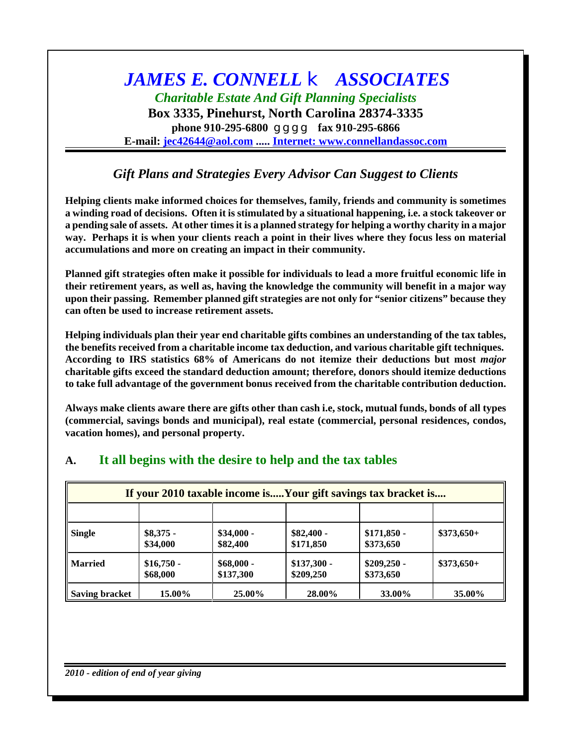# *JAMES E. CONNELL* k *ASSOCIATES Charitable Estate And Gift Planning Specialists*

**Box 3335, Pinehurst, North Carolina 28374-3335 phone 910-295-6800** g g g g **fax 910-295-6866 E-mail: [jec42644@aol.com](mailto:jec42644@aol.com) ..... Internet: [www.connellandassoc.com](http://www.connellandassoc.com)**

## *Gift Plans and Strategies Every Advisor Can Suggest to Clients*

**Helping clients make informed choices for themselves, family, friends and community is sometimes** a winding road of decisions. Often it is stimulated by a situational happening, i.e. a stock takeover or a pending sale of assets. At other times it is a planned strategy for helping a worthy charity in a major way. Perhaps it is when your clients reach a point in their lives where they focus less on material **accumulations and more on creating an impact in their community.**

**Planned gift strategies often make it possible for individuals to lead a more fruitful economic life in their retirement years, as well as, having the knowledge the community will benefit in a major way upon their passing. Remember planned gift strategies are not only for "senior citizens" because they can often be used to increase retirement assets.**

**Helping individuals plan their year end charitable gifts combines an understanding of the tax tables, the benefits received from a charitable income tax deduction, and various charitable gift techniques. According to IRS statistics 68% of Americans do not itemize their deductions but most** *major* **charitable gifts exceed the standard deduction amount; therefore, donors should itemize deductions to take full advantage of the government bonus received from the charitable contribution deduction.**

Always make clients aware there are gifts other than cash i.e, stock, mutual funds, bonds of all types **(commercial, savings bonds and municipal), real estate (commercial, personal residences, condos, vacation homes), and personal property.**

| If your 2010 taxable income isYour gift savings tax bracket is |                         |                          |                           |                           |             |
|----------------------------------------------------------------|-------------------------|--------------------------|---------------------------|---------------------------|-------------|
|                                                                |                         |                          |                           |                           |             |
| <b>Single</b>                                                  | $$8,375$ -<br>\$34,000  | $$34,000 -$<br>\$82,400  | $$82,400 -$<br>\$171,850  | $$171,850$ -<br>\$373,650 | $$373,650+$ |
| <b>Married</b>                                                 | $$16,750 -$<br>\$68,000 | $$68,000 -$<br>\$137,300 | $$137,300$ -<br>\$209,250 | $$209,250 -$<br>\$373,650 | $$373,650+$ |
| <b>Saving bracket</b>                                          | 15.00%                  | 25.00%                   | 28.00%                    | 33.00%                    | 35.00%      |

## **A. It all begins with the desire to help and the tax tables**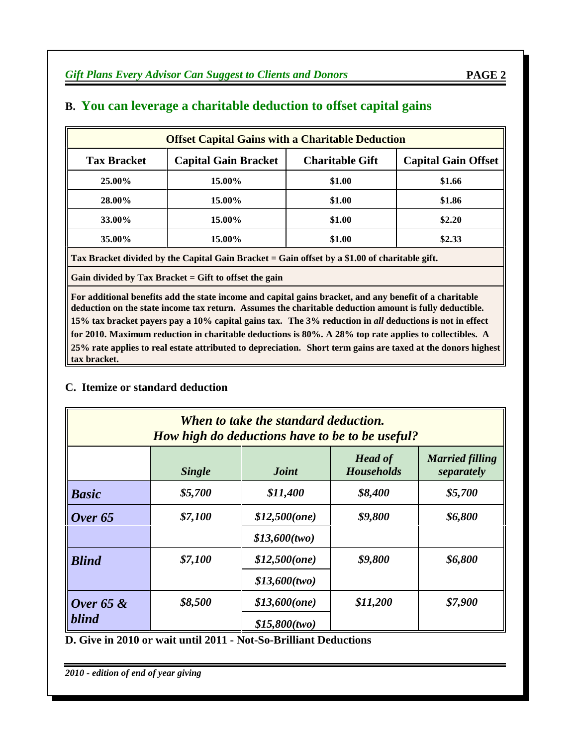| <b>Offset Capital Gains with a Charitable Deduction</b> |                        |                            |  |  |
|---------------------------------------------------------|------------------------|----------------------------|--|--|
| <b>Capital Gain Bracket</b>                             | <b>Charitable Gift</b> | <b>Capital Gain Offset</b> |  |  |
| 15.00%                                                  | \$1.00                 | \$1.66                     |  |  |
| 15.00%                                                  | \$1.00                 | \$1.86                     |  |  |
| 15.00%                                                  | \$1.00                 | \$2.20                     |  |  |
| 15.00%                                                  | \$1.00                 | \$2.33                     |  |  |
|                                                         |                        |                            |  |  |

## **B. You can leverage a charitable deduction to offset capital gains**

**Tax Bracket divided by the Capital Gain Bracket = Gain offset by a \$1.00 of charitable gift.**

**Gain divided by Tax Bracket = Gift to offset the gain**

**For additional benefits add the state income and capital gains bracket, and any benefit of a charitable deduction on the state income tax return. Assumes the charitable deduction amount is fully deductible.** 15% tax bracket payers pay a 10% capital gains tax. The 3% reduction in all deductions is not in effect **for 2010. Maximum reduction in charitable deductions is 80%. A 28% top rate applies to collectibles. A** 25% rate applies to real estate attributed to depreciation. Short term gains are taxed at the donors highest **tax bracket.**

### **C. Itemize or standard deduction**

| When to take the standard deduction.<br>How high do deductions have to be to be useful? |         |                 |                       |                               |  |
|-----------------------------------------------------------------------------------------|---------|-----------------|-----------------------|-------------------------------|--|
|                                                                                         | Single  | Joint           | Head of<br>Households | Married filling<br>separately |  |
| Basic                                                                                   | \$5,700 | \$11,400        | \$8,400               | \$5,700                       |  |
| Over 65                                                                                 | \$7,100 | $$12,500$ (one) | \$9,800               | \$6,800                       |  |
|                                                                                         |         | \$13,600(two)   |                       |                               |  |
| <b>Blind</b>                                                                            | \$7,100 | $$12,500$ (one) | \$9,800               | <i>S6,800</i>                 |  |
|                                                                                         |         | \$13,600(two)   |                       |                               |  |
| Over $65 &$                                                                             | \$8,500 | $$13,600$ (one) | \$11,200              | \$7,900                       |  |
| blind                                                                                   |         | $$15,800$ (two) |                       |                               |  |

### **D. Give in 2010 or wait until 2011 - Not-So-Brilliant Deductions**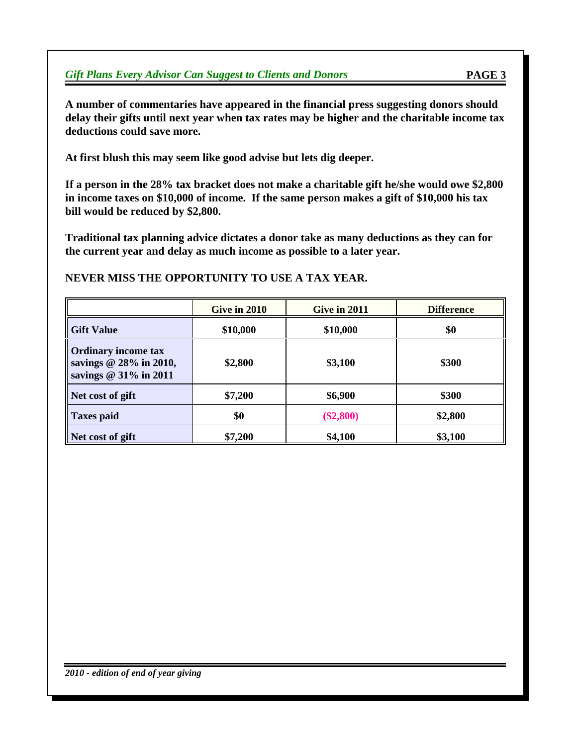**A number of commentaries have appeared in the financial press suggesting donors should delay their gifts until next year when tax rates may be higher and the charitable income tax deductions could save more.**

**At first blush this may seem like good advise but lets dig deeper.**

**If a person in the 28% tax bracket does not make a charitable gift he/she would owe \$2,800 in income taxes on \$10,000 of income. If the same person makes a gift of \$10,000 his tax bill would be reduced by \$2,800.**

**Traditional tax planning advice dictates a donor take as many deductions as they can for the current year and delay as much income as possible to a later year.**

#### **NEVER MISS THE OPPORTUNITY TO USE A TAX YEAR.**

|                                                                                 | Give in 2010 | Give in 2011 | <b>Difference</b> |
|---------------------------------------------------------------------------------|--------------|--------------|-------------------|
| <b>Gift Value</b>                                                               | \$10,000     | \$10,000     | \$0               |
| <b>Ordinary income tax</b><br>savings $@$ 28% in 2010,<br>savings @ 31% in 2011 | \$2,800      | \$3,100      | \$300             |
| Net cost of gift                                                                | \$7,200      | \$6,900      | \$300             |
| <b>Taxes paid</b>                                                               | \$0          | $(\$2,800)$  | \$2,800           |
| Net cost of gift                                                                | \$7,200      | \$4,100      | \$3,100           |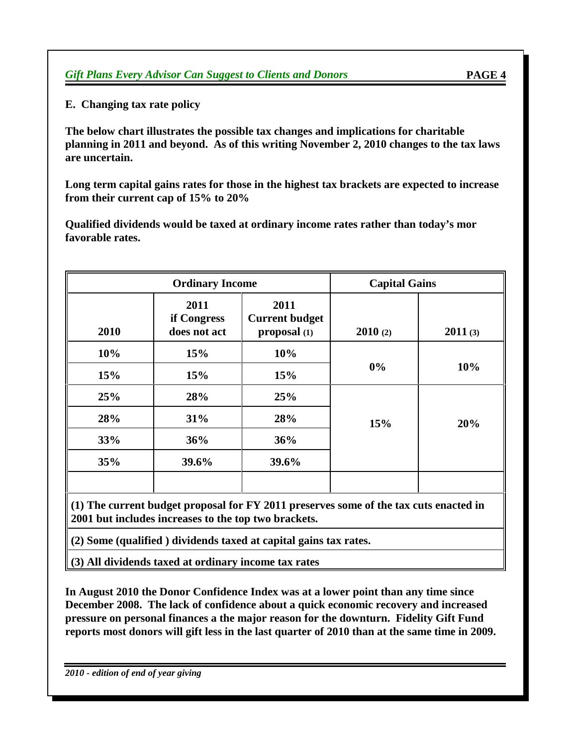**E. Changing tax rate policy**

**The below chart illustrates the possible tax changes and implications for charitable planning in 2011 and beyond. As of this writing November 2, 2010 changes to the tax laws are uncertain.**

**Long term capital gains rates for those in the highest tax brackets are expected to increase from their current cap of 15% to 20%**

**Qualified dividends would be taxed at ordinary income rates rather than today's mor favorable rates.**

|      | <b>Ordinary Income</b>              |                                               |         | <b>Capital Gains</b> |
|------|-------------------------------------|-----------------------------------------------|---------|----------------------|
| 2010 | 2011<br>if Congress<br>does not act | 2011<br><b>Current budget</b><br>proposal (1) | 2010(2) | 2011(3)              |
| 10%  | 15%                                 | 10%                                           |         |                      |
| 15%  | 15%                                 | 15%                                           | $0\%$   | 10%                  |
| 25%  | 28%                                 | 25%                                           |         |                      |
| 28%  | 31%                                 | 28%                                           | 15%     | 20%                  |
| 33%  | 36%                                 | 36%                                           |         |                      |
| 35%  | 39.6%                               | 39.6%                                         |         |                      |
|      |                                     |                                               |         |                      |

**(1) The current budget proposal for FY 2011 preserves some of the tax cuts enacted in 2001 but includes increases to the top two brackets.**

**(2) Some (qualified ) dividends taxed at capital gains tax rates.**

**(3) All dividends taxed at ordinary income tax rates**

**In August 2010 the Donor Confidence Index was at a lower point than any time since December 2008. The lack of confidence about a quick economic recovery and increased pressure on personal finances a the major reason for the downturn. Fidelity Gift Fund** reports most donors will gift less in the last quarter of 2010 than at the same time in 2009.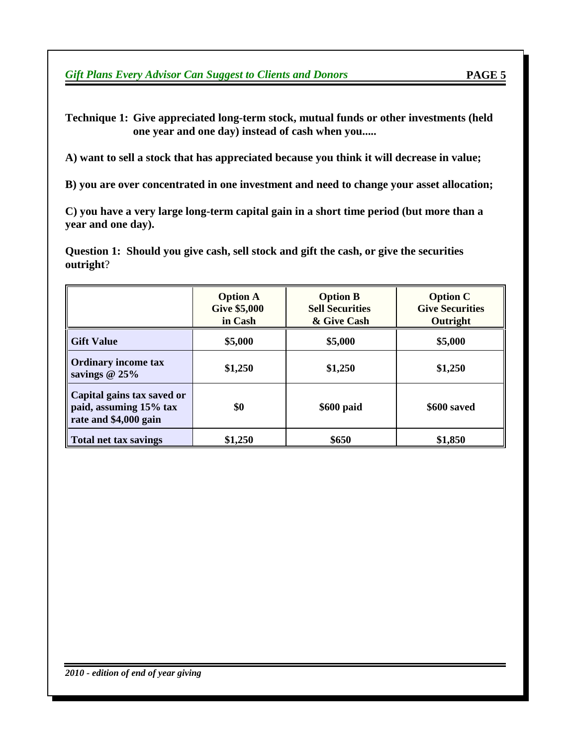**Technique 1: Give appreciated long-term stock, mutual funds or other investments (held one year and one day) instead of cash when you.....**

**A) want to sell a stock that has appreciated because you think it will decrease in value;**

**B) you are over concentrated in one investment and need to change your asset allocation;**

**C) you have a very large long-term capital gain in a short time period (but more than a year and one day).**

**Question 1: Should you give cash, sell stock and gift the cash, or give the securities outright**?

|                                                                               | <b>Option A</b><br><b>Give \$5,000</b><br>in Cash | <b>Option B</b><br><b>Sell Securities</b><br>& Give Cash | <b>Option C</b><br><b>Give Securities</b><br>Outright |
|-------------------------------------------------------------------------------|---------------------------------------------------|----------------------------------------------------------|-------------------------------------------------------|
| <b>Gift Value</b>                                                             | \$5,000                                           | \$5,000                                                  | \$5,000                                               |
| <b>Ordinary income tax</b><br>savings $@25\%$                                 | \$1,250                                           | \$1,250                                                  | \$1,250                                               |
| Capital gains tax saved or<br>paid, assuming 15% tax<br>rate and \$4,000 gain | \$0                                               | \$600 paid                                               | \$600 saved                                           |
| <b>Total net tax savings</b>                                                  | \$1,250                                           | \$650                                                    | \$1,850                                               |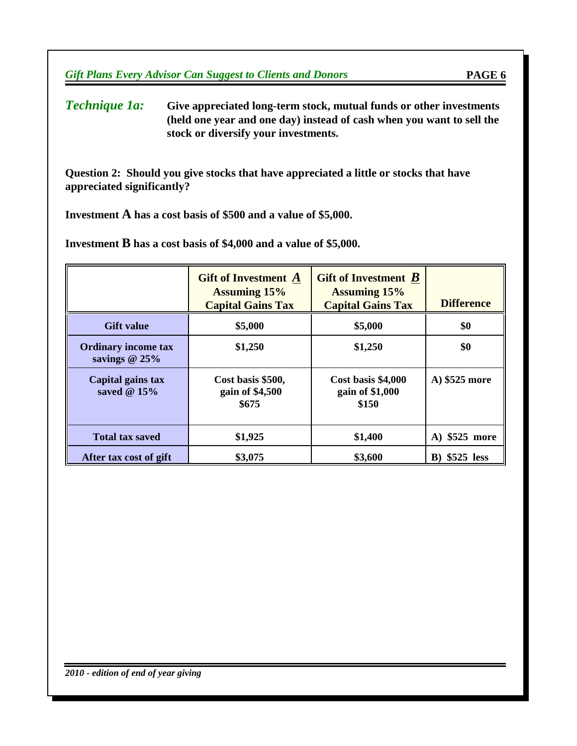*Technique 1a:* **Give appreciated long-term stock, mutual funds or other investments (held one year and one day) instead of cash when you want to sell the stock or diversify your investments.**

**Question 2: Should you give stocks that have appreciated a little or stocks that have appreciated significantly?**

**Investment A has a cost basis of \$500 and a value of \$5,000.**

**Investment B has a cost basis of \$4,000 and a value of \$5,000.**

|                                               | <b>Gift of Investment</b> A<br><b>Assuming 15%</b><br><b>Capital Gains Tax</b> | Gift of Investment $B$<br><b>Assuming 15%</b><br><b>Capital Gains Tax</b> | <b>Difference</b>     |
|-----------------------------------------------|--------------------------------------------------------------------------------|---------------------------------------------------------------------------|-----------------------|
| <b>Gift value</b>                             | \$5,000                                                                        | \$5,000                                                                   | \$0                   |
| <b>Ordinary income tax</b><br>savings $@25\%$ | \$1,250                                                                        | \$1,250                                                                   | \$0                   |
| Capital gains tax<br>saved $@15%$             | Cost basis \$500,<br>gain of \$4,500<br>\$675                                  | Cost basis \$4,000<br>gain of \$1,000<br>\$150                            | A) \$525 more         |
| <b>Total tax saved</b>                        | \$1,925                                                                        | \$1,400                                                                   | A) \$525 more         |
| After tax cost of gift                        | \$3,075                                                                        | \$3,600                                                                   | <b>B</b> ) \$525 less |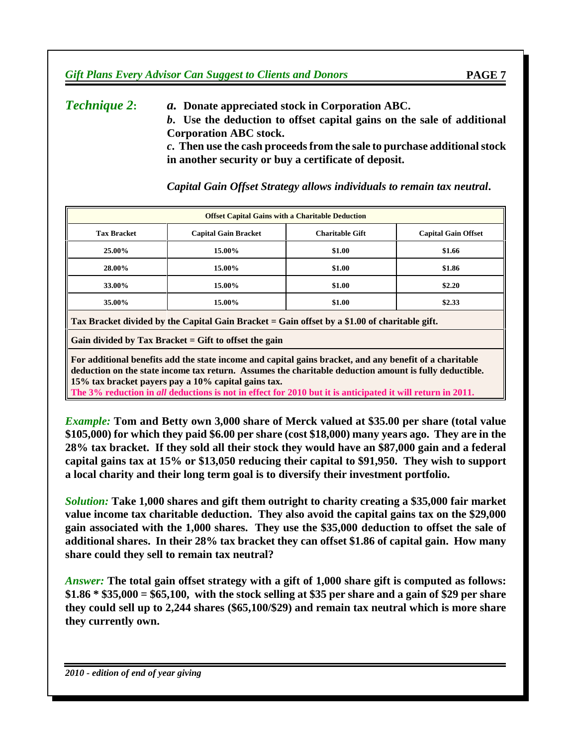*Technique 2***:** *a.* **Donate appreciated stock in Corporation ABC.** *b***. Use the deduction to offset capital gains on the sale of additional Corporation ABC stock.** *c***. Then use the cash proceedsfrom the sale to purchase additionalstock in another security or buy a certificate of deposit.**

| <b>Offset Capital Gains with a Charitable Deduction</b>                                       |                             |                        |                            |  |
|-----------------------------------------------------------------------------------------------|-----------------------------|------------------------|----------------------------|--|
| <b>Tax Bracket</b>                                                                            | <b>Capital Gain Bracket</b> | <b>Charitable Gift</b> | <b>Capital Gain Offset</b> |  |
| 25.00%                                                                                        | 15.00%                      | \$1.00                 | \$1.66                     |  |
| 28.00%                                                                                        | 15.00%                      | \$1.00                 | \$1.86                     |  |
| 33.00%                                                                                        | 15.00%                      | \$1.00                 | \$2.20                     |  |
| 35.00%                                                                                        | 15.00%                      | \$1.00                 | \$2.33                     |  |
| Tax Bracket divided by the Capital Gain Bracket = Gain offset by a \$1.00 of charitable gift. |                             |                        |                            |  |
| Gain divided by Tax Bracket $=$ Gift to offset the gain                                       |                             |                        |                            |  |

*Capital Gain Offset Strategy allows individuals to remain tax neutral***.**

**For additional benefits add the state income and capital gains bracket, and any benefit of a charitable deduction on the state income tax return. Assumes the charitable deduction amount is fully deductible. 15% tax bracket payers pay a 10% capital gains tax.** The 3% reduction in all deductions is not in effect for 2010 but it is anticipated it will return in 2011.

*Example:* **Tom and Betty own 3,000 share of Merck valued at \$35.00 per share (total value \$105,000) for which they paid \$6.00 per share (cost \$18,000) many years ago. They are in the 28% tax bracket. If they sold all their stock they would have an \$87,000 gain and a federal capital gains tax at 15% or \$13,050 reducing their capital to \$91,950. They wish to support a local charity and their long term goal is to diversify their investment portfolio.**

*Solution:* **Take 1,000 shares and gift them outright to charity creating a \$35,000 fair market value income tax charitable deduction. They also avoid the capital gains tax on the \$29,000 gain associated with the 1,000 shares. They use the \$35,000 deduction to offset the sale of additional shares. In their 28% tax bracket they can offset \$1.86 of capital gain. How many share could they sell to remain tax neutral?**

*Answer:* **The total gain offset strategy with a gift of 1,000 share gift is computed as follows:**  $$1.86 * $35,000 = $65,100$ , with the stock selling at \$35 per share and a gain of \$29 per share **they could sell up to 2,244 shares (\$65,100/\$29) and remain tax neutral which is more share they currently own.**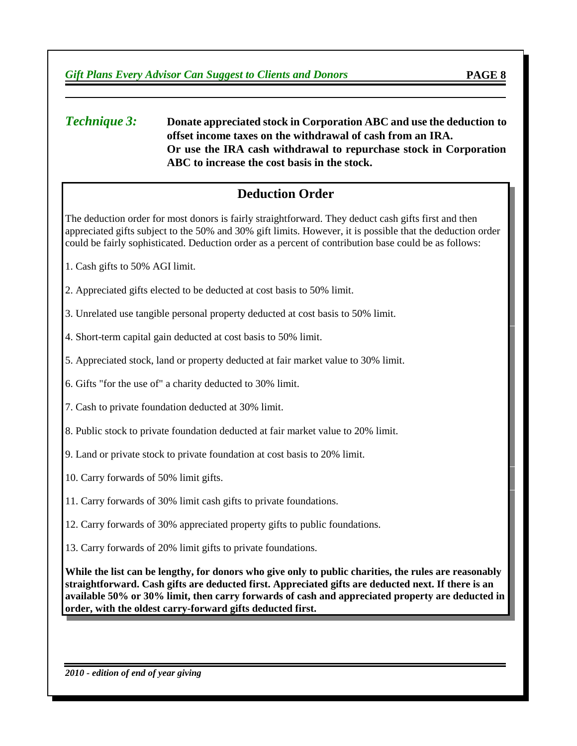#### *Technique 3:* **Donate appreciated stock in Corporation ABC and use the deduction to offset income taxes on the withdrawal of cash from an IRA. Or use the IRA cash withdrawal to repurchase stock in Corporation ABC to increase the cost basis in the stock.**

## **Deduction Order**

The deduction order for most donors is fairly straightforward. They deduct cash gifts first and then appreciated gifts subject to the 50% and 30% gift limits. However, it is possible that the deduction order could be fairly sophisticated. Deduction order as a percent of contribution base could be as follows:

- 1. Cash gifts to 50% AGI limit.
- 2. Appreciated gifts elected to be deducted at cost basis to 50% limit.

3. Unrelated use tangible personal property deducted at cost basis to 50% limit.

- 4. Short-term capital gain deducted at cost basis to 50% limit.
- 5. Appreciated stock, land or property deducted at fair market value to 30% limit.
- 6. Gifts "for the use of" a charity deducted to 30% limit.
- 7. Cash to private foundation deducted at 30% limit.
- 8. Public stock to private foundation deducted at fair market value to 20% limit.
- 9. Land or private stock to private foundation at cost basis to 20% limit.
- 10. Carry forwards of 50% limit gifts.
- 11. Carry forwards of 30% limit cash gifts to private foundations.
- 12. Carry forwards of 30% appreciated property gifts to public foundations.
- 13. Carry forwards of 20% limit gifts to private foundations.

While the list can be lengthy, for donors who give only to public charities, the rules are reasonably **straightforward. Cash gifts are deducted first. Appreciated gifts are deducted next. If there is an available 50% or 30% limit, then carry forwards of cash and appreciated property are deducted in order, with the oldest carry-forward gifts deducted first.**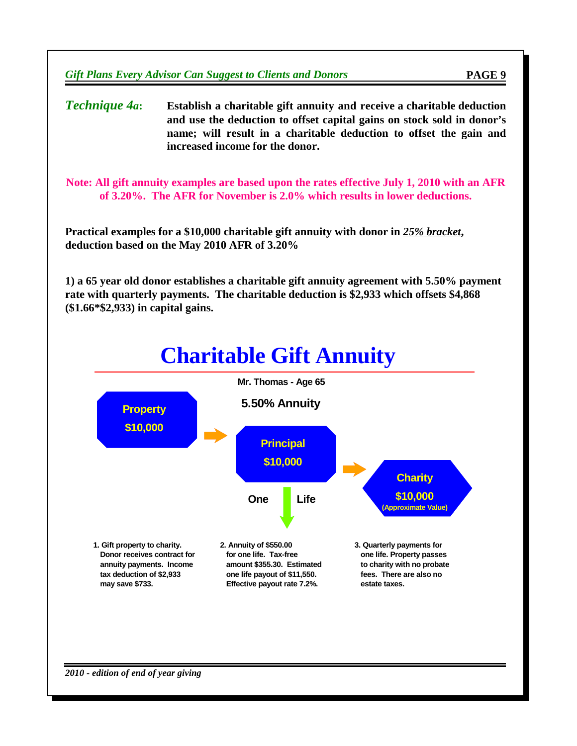*Technique 4a***: Establish a charitable gift annuity and receive a charitable deduction and use the deduction to offset capital gains on stock sold in donor's name; will result in a charitable deduction to offset the gain and increased income for the donor.**

**Note: All gift annuity examples are based upon the rates effective July 1, 2010 with an AFR of 3.20%. The AFR for November is 2.0% which results in lower deductions.**

**Practical examples for a \$10,000 charitable gift annuity with donor in** *25% bracket***, deduction based on the May 2010 AFR of 3.20%**

**1) a 65 year old donor establishes a charitable gift annuity agreement with 5.50% payment rate with quarterly payments. The charitable deduction is \$2,933 which offsets \$4,868 (\$1.66\*\$2,933) in capital gains.**

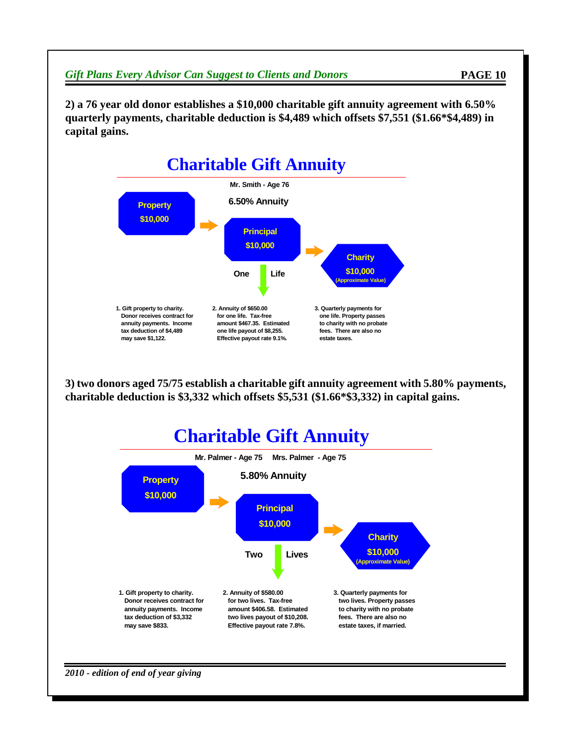**2) a 76 year old donor establishes a \$10,000 charitable gift annuity agreement with 6.50% quarterly payments, charitable deduction is \$4,489 which offsets \$7,551 (\$1.66\*\$4,489) in capital gains.**



**3) two donors aged 75/75 establish a charitable gift annuity agreement with 5.80% payments, charitable deduction is \$3,332 which offsets \$5,531 (\$1.66\*\$3,332) in capital gains.**

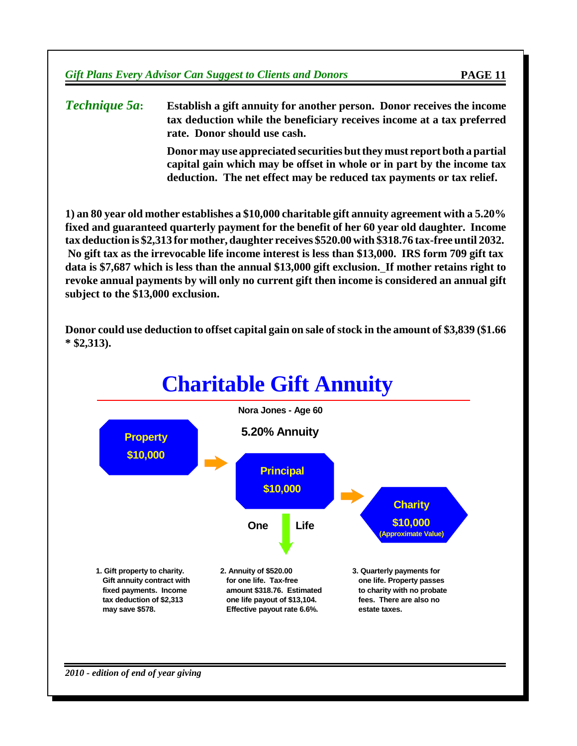*Technique 5a***: Establish a gift annuity for another person. Donor receives the income tax deduction while the beneficiary receives income at a tax preferred rate. Donor should use cash.**

> **Donor may use appreciated securities butthey must report both a partial capital gain which may be offset in whole or in part by the income tax deduction. The net effect may be reduced tax payments or tax relief.**

**1) an 80 year old mother establishes a \$10,000 charitable gift annuity agreement with a 5.20% fixed and guaranteed quarterly payment for the benefit of her 60 year old daughter. Income tax deduction is \$2,313 for mother, daughter receives \$520.00 with \$318.76 tax-free until 2032. No gift tax as the irrevocable life income interest is less than \$13,000. IRS form 709 gift tax data is \$7,687 which is less than the annual \$13,000 gift exclusion. If mother retains right to revoke annual payments by will only no current gift then income is considered an annual gift subject to the \$13,000 exclusion.**

**Donor could use deduction to offset capital gain on sale ofstock in the amount of \$3,839 (\$1.66 \* \$2,313).**

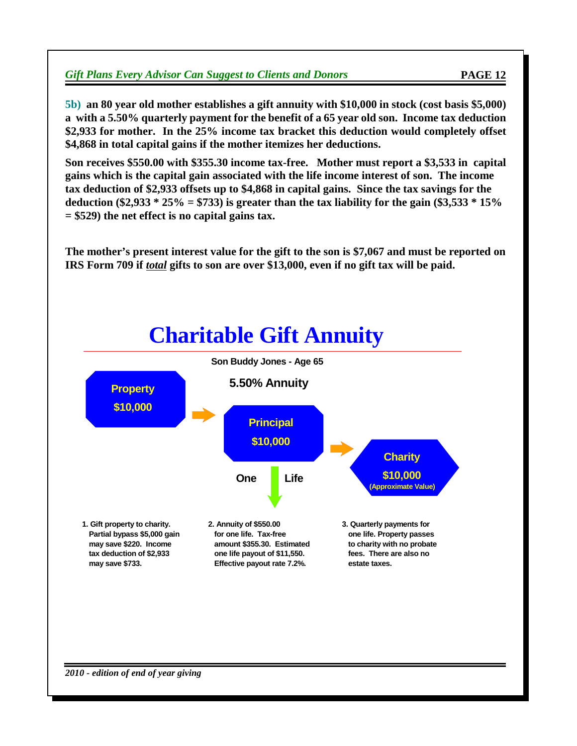**5b) an 80 year old mother establishes a gift annuity with \$10,000 in stock (cost basis \$5,000) a with a 5.50% quarterly payment for the benefit of a 65 year old son. Income tax deduction \$2,933 for mother. In the 25% income tax bracket this deduction would completely offset \$4,868 in total capital gains if the mother itemizes her deductions.**

**Son receives \$550.00 with \$355.30 income tax-free. Mother must report a \$3,533 in capital gains which is the capital gain associated with the life income interest of son. The income tax deduction of \$2,933 offsets up to \$4,868 in capital gains. Since the tax savings for the deduction (\$2,933 \* 25% = \$733) is greater than the tax liability for the gain (\$3,533 \* 15% = \$529) the net effect is no capital gains tax.**

**The mother's present interest value for the gift to the son is \$7,067 and must be reported on IRS Form 709 if** *total* **gifts to son are over \$13,000, even if no gift tax will be paid.**

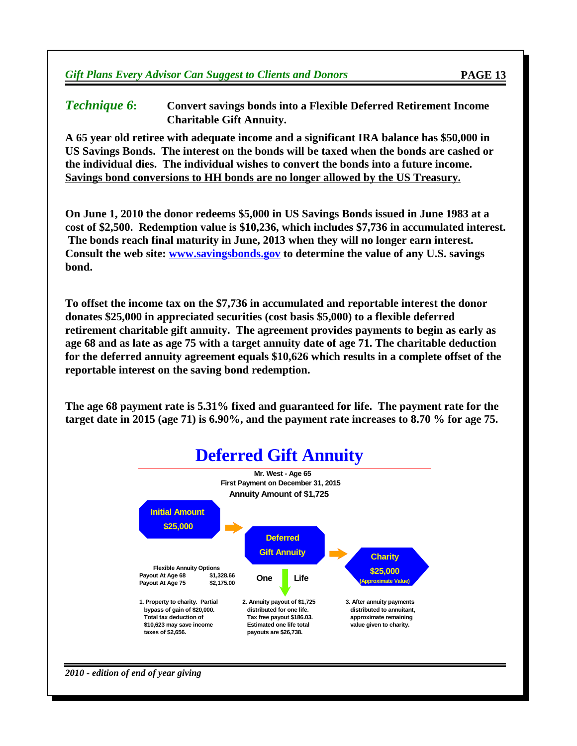#### *Technique 6***: Convert savings bonds into a Flexible Deferred Retirement Income Charitable Gift Annuity.**

**A 65 year old retiree with adequate income and a significant IRA balance has \$50,000 in US Savings Bonds. The interest on the bonds will be taxed when the bonds are cashed or the individual dies. The individual wishes to convert the bonds into a future income. Savings bond conversions to HH bonds are no longer allowed by the US Treasury.**

**On June 1, 2010 the donor redeems \$5,000 in US Savings Bonds issued in June 1983 at a cost of \$2,500. Redemption value is \$10,236, which includes \$7,736 in accumulated interest. The bonds reach final maturity in June, 2013 when they will no longer earn interest. Consult the web site: [www.savingsbonds.gov](http://www.savingsbonds.gov) to determine the value of any U.S. savings bond.**

**To offset the income tax on the \$7,736 in accumulated and reportable interest the donor donates \$25,000 in appreciated securities (cost basis \$5,000) to a flexible deferred retirement charitable gift annuity. The agreement provides payments to begin as early as age 68 and as late as age 75 with a target annuity date of age 71. The charitable deduction for the deferred annuity agreement equals \$10,626 which results in a complete offset of the reportable interest on the saving bond redemption.**

**The age 68 payment rate is 5.31% fixed and guaranteed for life. The payment rate for the target date in 2015 (age 71) is 6.90%, and the payment rate increases to 8.70 % for age 75.**



*2010 - edition of end of year giving*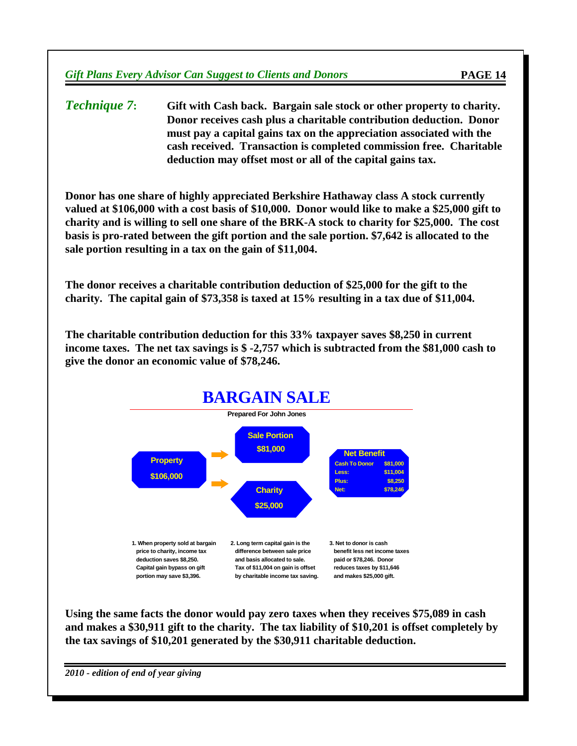*Technique 7***: Gift with Cash back. Bargain sale stock or other property to charity. Donor receives cash plus a charitable contribution deduction. Donor must pay a capital gains tax on the appreciation associated with the cash received. Transaction is completed commission free. Charitable deduction may offset most or all of the capital gains tax.**

**Donor has one share of highly appreciated Berkshire Hathaway class A stock currently valued at \$106,000 with a cost basis of \$10,000. Donor would like to make a \$25,000 gift to charity and is willing to sell one share of the BRK-A stock to charity for \$25,000. The cost basis is pro-rated between the gift portion and the sale portion. \$7,642 is allocated to the sale portion resulting in a tax on the gain of \$11,004.**

**The donor receives a charitable contribution deduction of \$25,000 for the gift to the charity. The capital gain of \$73,358 is taxed at 15% resulting in a tax due of \$11,004.**

**The charitable contribution deduction for this 33% taxpayer saves \$8,250 in current income taxes. The net tax savings is \$ -2,757 which is subtracted from the \$81,000 cash to give the donor an economic value of \$78,246.**



**Using the same facts the donor would pay zero taxes when they receives \$75,089 in cash and makes a \$30,911 gift to the charity. The tax liability of \$10,201 is offset completely by the tax savings of \$10,201 generated by the \$30,911 charitable deduction.**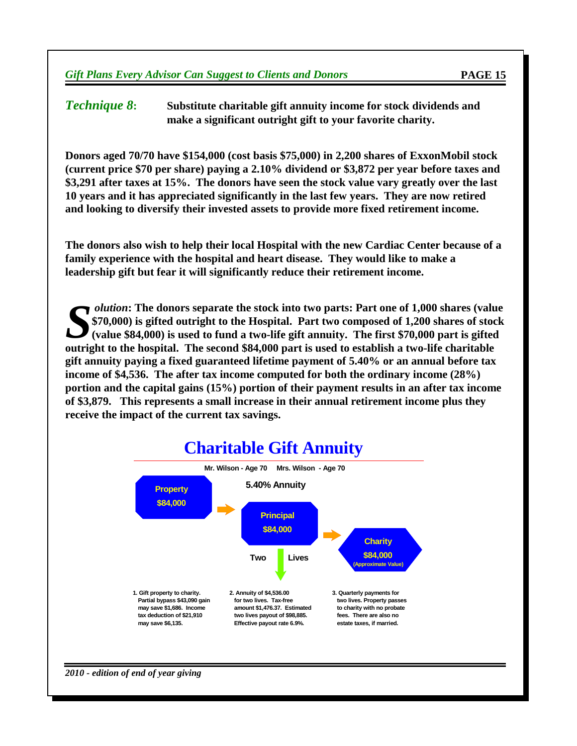*Technique 8***: Substitute charitable gift annuity income for stock dividends and make a significant outright gift to your favorite charity.**

**Donors aged 70/70 have \$154,000 (cost basis \$75,000) in 2,200 shares of ExxonMobil stock (current price \$70 per share) paying a 2.10% dividend or \$3,872 per year before taxes and \$3,291 after taxes at 15%. The donors have seen the stock value vary greatly over the last 10 years and it has appreciated significantly in the last few years. They are now retired and looking to diversify their invested assets to provide more fixed retirement income.**

**The donors also wish to help their local Hospital with the new Cardiac Center because of a family experience with the hospital and heart disease. They would like to make a leadership gift but fear it will significantly reduce their retirement income.**

**S S outright (value \$84,000)** is used to fund a two-life gift annuity. The first \$70,000 part is gifted outright to the hospital. Part two composed of 1,200 shares of stock (value \$84,000) is used to fund a two-life *olution***: The donors separate the stock into two parts: Part one of 1,000 shares (value \$70,000) is gifted outright to the Hospital. Part two composed of 1,200 shares of stock (value \$84,000) is used to fund a two-life gift annuity. The first \$70,000 part is gifted gift annuity paying a fixed guaranteed lifetime payment of 5.40% or an annual before tax income of \$4,536. The after tax income computed for both the ordinary income (28%) portion and the capital gains (15%) portion of their payment results in an after tax income of \$3,879. This represents a small increase in their annual retirement income plus they receive the impact of the current tax savings.**

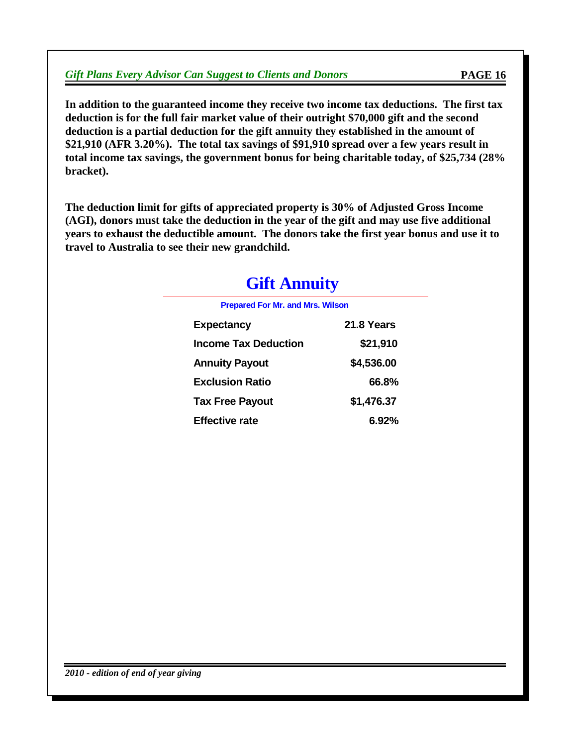**In addition to the guaranteed income they receive two income tax deductions. The first tax deduction is for the full fair market value of their outright \$70,000 gift and the second deduction is a partial deduction for the gift annuity they established in the amount of \$21,910 (AFR 3.20%). The total tax savings of \$91,910 spread over a few years result in total income tax savings, the government bonus for being charitable today, of \$25,734 (28% bracket).**

**The deduction limit for gifts of appreciated property is 30% of Adjusted Gross Income (AGI), donors must take the deduction in the year of the gift and may use five additional years to exhaust the deductible amount. The donors take the first year bonus and use it to travel to Australia to see their new grandchild.**

| <b>Gift Annuity</b> |
|---------------------|
|                     |

**Prepared For Mr. and Mrs. Wilson**

| Prepared For Mr. and Mrs. Wilson |            |
|----------------------------------|------------|
| <b>Expectancy</b>                | 21.8 Years |
| <b>Income Tax Deduction</b>      | \$21,910   |
| <b>Annuity Payout</b>            | \$4,536.00 |
| <b>Exclusion Ratio</b>           | 66.8%      |
| <b>Tax Free Payout</b>           | \$1,476.37 |
| <b>Effective rate</b>            | 6.92%      |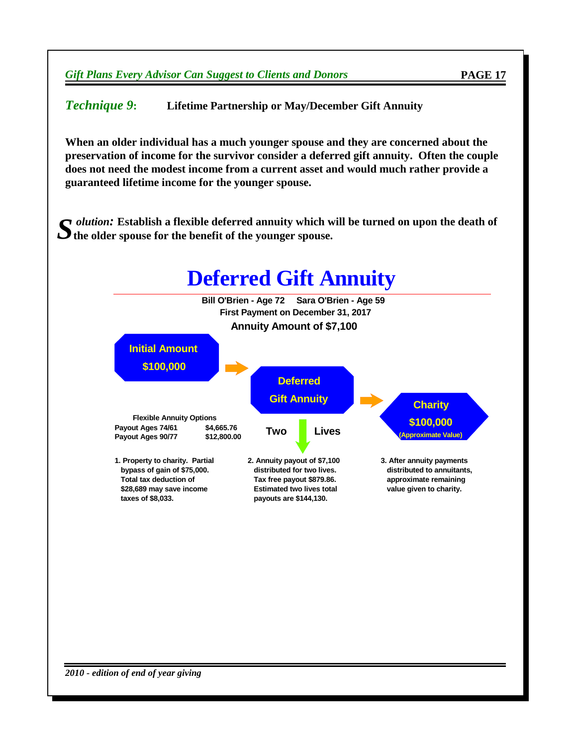*Technique 9***: Lifetime Partnership or May/December Gift Annuity**

**When an older individual has a much younger spouse and they are concerned about the preservation of income for the survivor consider a deferred gift annuity. Often the couple does not need the modest income from a current asset and would much rather provide a guaranteed lifetime income for the younger spouse.**

*S* **the older spouse for the benefit of the younger spouse.** *olution:* **Establish a flexible deferred annuity which will be turned on upon the death of**

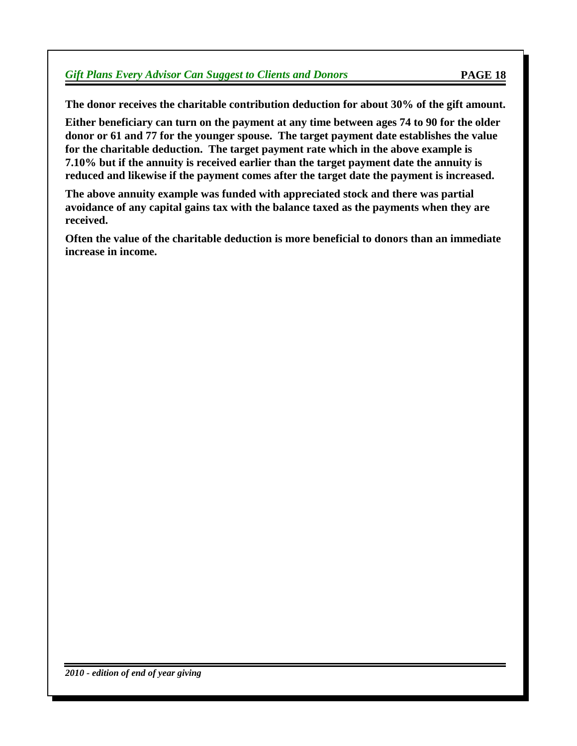**The donor receives the charitable contribution deduction for about 30% of the gift amount.**

**Either beneficiary can turn on the payment at any time between ages 74 to 90 for the older donor or 61 and 77 for the younger spouse. The target payment date establishes the value for the charitable deduction. The target payment rate which in the above example is 7.10% but if the annuity is received earlier than the target payment date the annuity is reduced and likewise if the payment comes after the target date the payment is increased.**

**The above annuity example was funded with appreciated stock and there was partial avoidance of any capital gains tax with the balance taxed as the payments when they are received.**

**Often the value of the charitable deduction is more beneficial to donors than an immediate increase in income.**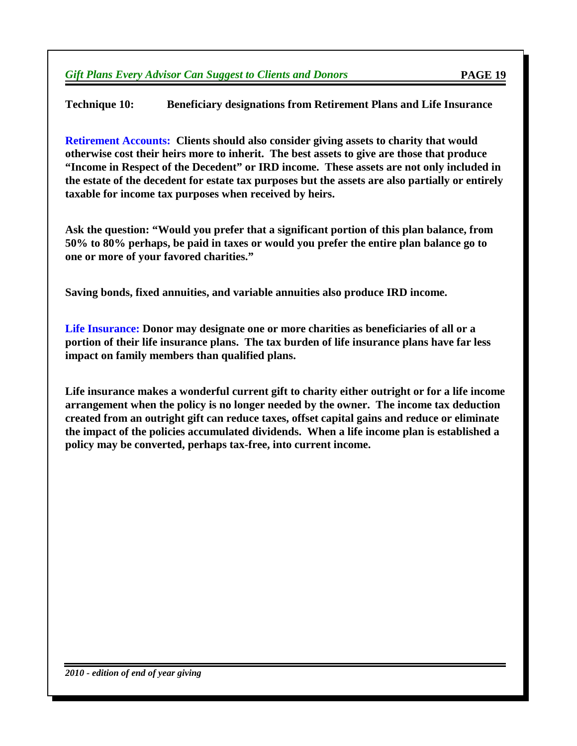**Technique 10: Beneficiary designations from Retirement Plans and Life Insurance**

**Retirement Accounts: Clients should also consider giving assets to charity that would otherwise cost their heirs more to inherit. The best assets to give are those that produce "Income in Respect of the Decedent" or IRD income. These assets are not only included in the estate of the decedent for estate tax purposes but the assets are also partially or entirely taxable for income tax purposes when received by heirs.**

**Ask the question: "Would you prefer that a significant portion of this plan balance, from 50% to 80% perhaps, be paid in taxes or would you prefer the entire plan balance go to one or more of your favored charities."**

**Saving bonds, fixed annuities, and variable annuities also produce IRD income.**

**Life Insurance: Donor may designate one or more charities as beneficiaries of all or a portion of their life insurance plans. The tax burden of life insurance plans have far less impact on family members than qualified plans.**

**Life insurance makes a wonderful current gift to charity either outright or for a life income arrangement when the policy is no longer needed by the owner. The income tax deduction created from an outright gift can reduce taxes, offset capital gains and reduce or eliminate the impact of the policies accumulated dividends. When a life income plan is established a policy may be converted, perhaps tax-free, into current income.**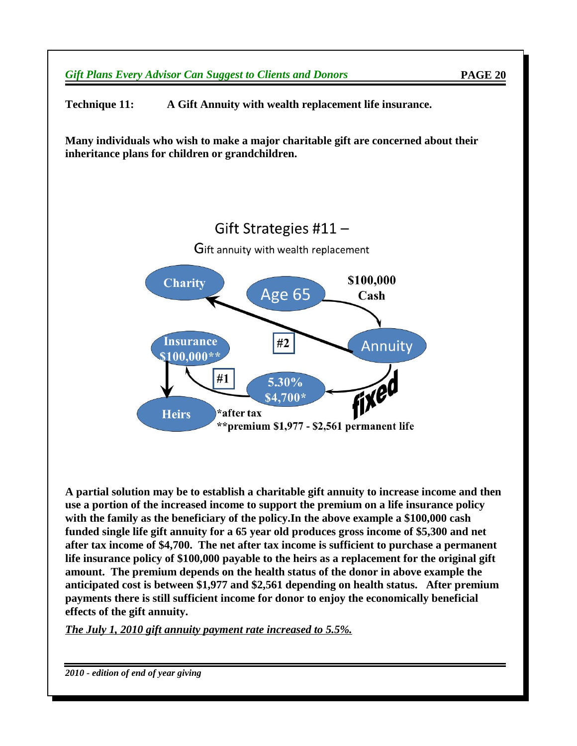

**Technique 11: A Gift Annuity with wealth replacement life insurance.**

**Many individuals who wish to make a major charitable gift are concerned about their inheritance plans for children or grandchildren.**



**A partial solution may be to establish a charitable gift annuity to increase income and then use a portion of the increased income to support the premium on a life insurance policy with the family as the beneficiary of the policy.In the above example a \$100,000 cash funded single life gift annuity for a 65 year old produces gross income of \$5,300 and net after tax income of \$4,700. The net after tax income is sufficient to purchase a permanent life insurance policy of \$100,000 payable to the heirs as a replacement for the original gift amount. The premium depends on the health status of the donor in above example the anticipated cost is between \$1,977 and \$2,561 depending on health status. After premium payments there is still sufficient income for donor to enjoy the economically beneficial effects of the gift annuity.**

*The July 1, 2010 gift annuity payment rate increased to 5.5%.*